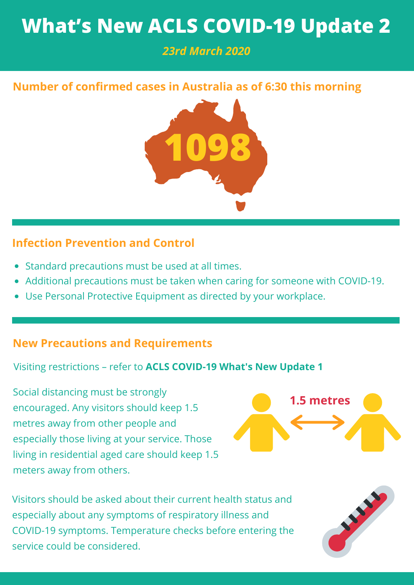# **What's New ACLS COVID-19 Update 2**

# *23rd March 2020*

# **Number of confirmed cases in Australia as of 6:30 this morning**



## **Infection Prevention and Control**

- Standard precautions must be used at all times.
- Additional precautions must be taken when caring for someone with COVID-19.
- Use Personal Protective Equipment as directed by your workplace.

## **New Precautions and Requirements**

Visiting restrictions – refer to **ACLS COVID-19 What's New Update 1**

Social distancing must be strongly encouraged. Any visitors should keep 1.5 metres away from other people and especially those living at your service. Those living in residential aged care should keep 1.5 meters away from others.



Visitors should be asked about their current health status and especially about any symptoms of respiratory illness and COVID-19 symptoms. Temperature checks before entering the service could be considered.

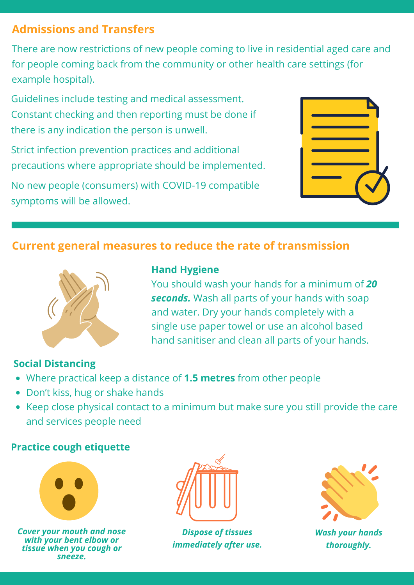## **Admissions and Transfers**

There are now restrictions of new people coming to live in residential aged care and for people coming back from the community or other health care settings (for example hospital).

Guidelines include testing and medical assessment. Constant checking and then reporting must be done if there is any indication the person is unwell.

Strict infection prevention practices and additional precautions where appropriate should be implemented.

No new people (consumers) with COVID-19 compatible symptoms will be allowed.

## **Current general measures to reduce the rate of transmission**



#### **Hand Hygiene**

You should wash your hands for a minimum of *20 seconds.* Wash all parts of your hands with soap and water. Dry your hands completely with a single use paper towel or use an alcohol based hand sanitiser and clean all parts of your hands.

### **Social Distancing**

- Where practical keep a distance of **1.5 metres** from other people
- Don't kiss, hug or shake hands
- Keep close physical contact to a minimum but make sure you still provide the care and services people need

#### **Practice cough etiquette**



*Cover your mouth and nose with your bent elbow or tissue when you cough or sneeze.*



*Dispose of tissues immediately after use.*



*Wash your hands thoroughly.*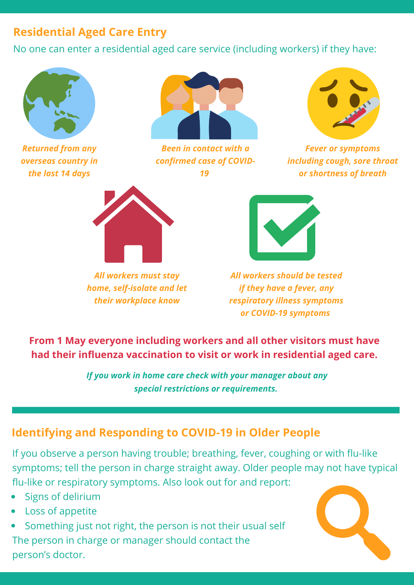# **Residential Aged Care Entry**

No one can enter a residential aged care service (including workers) if they have:



*Returned from any overseas country in the last 14 days*



*Been in contact with a confirmed case of COVID-19*



*Fever or symptoms including cough, sore throat or shortness of breath*



*All workers must stay home, self-isolate and let their workplace know*



*All workers should be tested if they have a fever, any respiratory illness symptoms or COVID-19 symptoms*

**From 1 May everyone including workers and all other visitors must have had their influenza vaccination to visit or work in residential aged care.**

> *If you work in home care check with your manager about any special restrictions or requirements.*

# **Identifying and Responding to COVID-19 in Older People**

If you observe a person having trouble; breathing, fever, coughing or with flu-like symptoms; tell the person in charge straight away. Older people may not have typical flu-like or respiratory symptoms. Also look out for and report:

- Signs of delirium
- Loss of appetite

Something just not right, the person is not their usual self The person in charge or manager should contact the person's doctor.